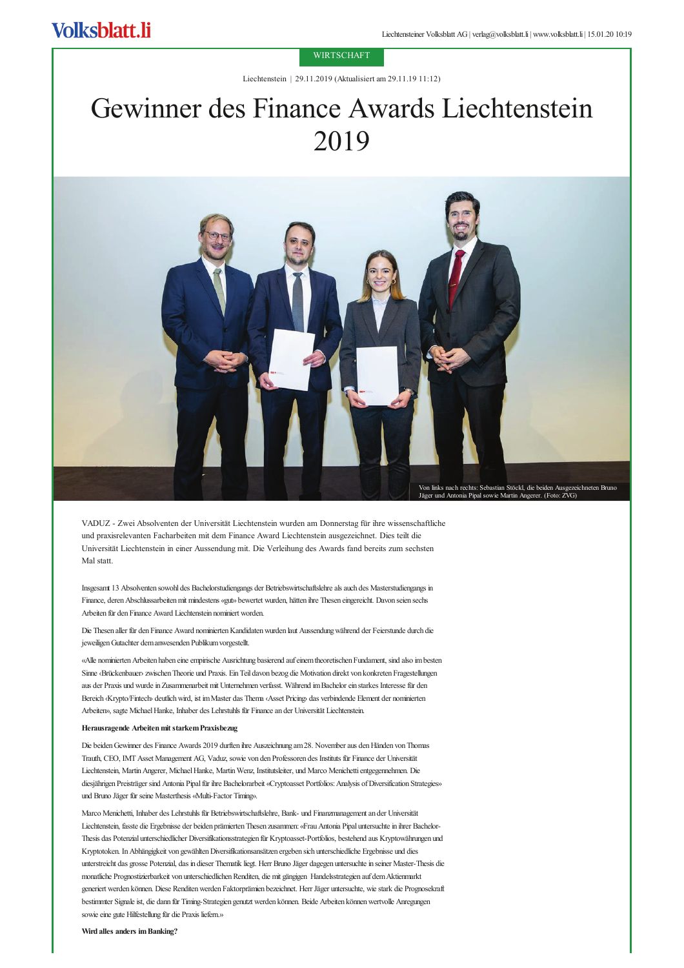## **WIRTSCHAFT**

Liechtenstein | 29.11.2019 (Aktualisiert am 29.11.19 11:12)

## Gewinner des Finance Awards Liechtenstein 2019



VADUZ - Zwei Absolventen der Universität Liechtenstein wurden am Donnerstag für ihre wissenschaftliche und praxisrelevanten Facharbeiten mit dem Finance Award Liechtenstein ausgezeichnet. Dies teilt die Universität Liechtenstein in einer Aussendung mit. Die Verleihung des Awards fand bereits zum sechsten Mal statt.

Insgesamt 13 Absolventen sowohl des Bachelorstudiengangs der Betriebswirtschaftslehre als auch des Masterstudiengangs in Finance, deren Abschlussarbeiten mit mindestens «gut» bewertet wurden, hätten ihre Thesen eingereicht. Davon seien sechs Arbeiten für den Finance Award Liechtenstein nominiert worden

Die Thesen aller für den Finance Award nominierten Kandidaten wurden laut Aussendung während der Feierstunde durch die jeweiligen Gutachter dem anwesenden Publikum vorgestellt.

«Alle nominierten Arbeiten haben eine empirische Ausrichtung basierend auf einem theoretischen Fundament, sind also im besten Sinne ‹Brückenbauer› zwischen Theorie und Praxis. Ein Teil davon bezog die Motivation direkt von konkreten Fragestellungen aus der Praxis und wurde in Zusammenarbeit mit Unternehmen verfasst. Während im Bachelor ein starkes Interesse für den Bereich (Krypto/Fintech deutlich wird, ist im Master das Thema (Asset Pricing) das verbindende Element der nominierten Arbeiten», sagte Michael Hanke, Inhaber des Lehrstuhls für Finance an der Universität Liechtenstein.

## Herausragende Arbeiten mit starkem Praxisbezug

Die beiden Gewinner des Finance Awards 2019 durften ihre Auszeichnung am 28. November aus den Händen von Thomas Trauth, CEO, IMT Asset Management AG, Vaduz, sowie von den Professoren des Instituts für Finance der Universität Liechtenstein, Martin Angerer, Michael Hanke, Martin Wenz, Institutsleiter, und Marco Menichetti entgegennehmen. Die diesjährigen Preisträger sind Antonia Pipal für ihre Bachelorarbeit «Cryptoasset Portfolios: Analysis of Diversification Strategies» und Bruno Jäger für seine Masterthesis «Multi-Factor Timing».

Marco Menichetti, Inhaber des Lehrstuhls für Betriebswirtschaftslehre, Bank- und Finanzmanagement an der Universität Liechtenstein, fasste die Ergebnisse der beiden prämierten Thesen zusammen: «Frau Antonia Pipal untersuchte in ihrer Bachelor-Thesis das Potenzial unterschiedlicher Diversifikationsstrategien für Kryptoasset-Portfolios, bestehend aus Kryptowährungen und Kryptotoken. In Abhängigkeit von gewählten Diversifikationsansätzen ergeben sich unterschiedliche Ergebnisse und dies unterstreicht das grosse Potenzial, das in dieser Thematik liegt. Herr Bruno Jäger dagegen untersuchte in seiner Master-Thesis die monatliche Prognostizierbarkeit von unterschiedlichen Renditen, die mit gängigen Handelsstrategien auf dem Aktienmarkt generiert werden können. Diese Renditen werden Faktorprämien bezeichnet. Herr Jäger untersuchte, wie stark die Prognosekraft bestimmter Signale ist, die dann für Timing-Strategien genutzt werden können. Beide Arbeiten können wertvolle Anregungen sowie eine gute Hilfestellung für die Praxis liefern.»

Wird alles anders im Banking?